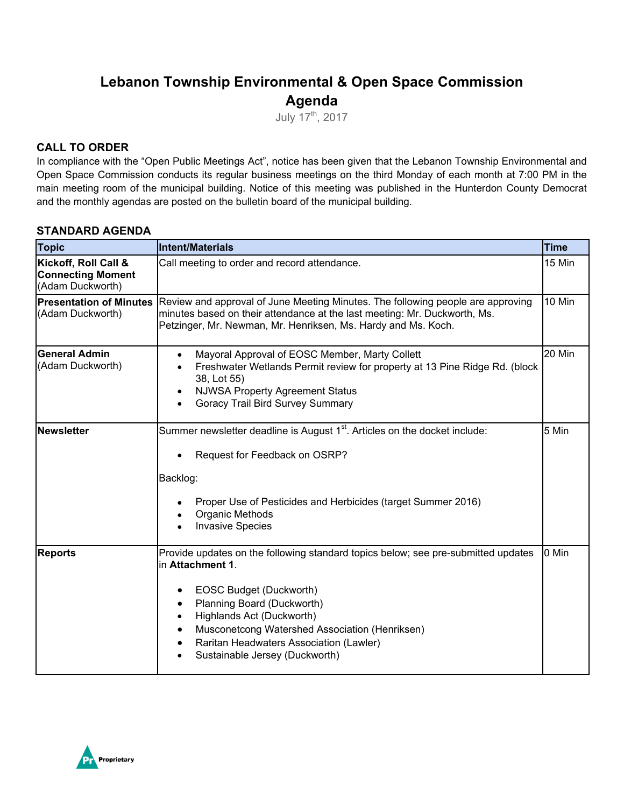# **Lebanon Township Environmental & Open Space Commission Agenda**

July 17th, 2017

### **CALL TO ORDER**

In compliance with the "Open Public Meetings Act", notice has been given that the Lebanon Township Environmental and Open Space Commission conducts its regular business meetings on the third Monday of each month at 7:00 PM in the main meeting room of the municipal building. Notice of this meeting was published in the Hunterdon County Democrat and the monthly agendas are posted on the bulletin board of the municipal building.

### **STANDARD AGENDA**

| <b>Topic</b>                                                         | <b>Intent/Materials</b>                                                                                                                                                                                                                                                                                                    | <b>Time</b> |
|----------------------------------------------------------------------|----------------------------------------------------------------------------------------------------------------------------------------------------------------------------------------------------------------------------------------------------------------------------------------------------------------------------|-------------|
| Kickoff, Roll Call &<br><b>Connecting Moment</b><br>(Adam Duckworth) | Call meeting to order and record attendance.                                                                                                                                                                                                                                                                               | 15 Min      |
| <b>Presentation of Minutes</b><br>(Adam Duckworth)                   | 10 Min<br>Review and approval of June Meeting Minutes. The following people are approving<br>minutes based on their attendance at the last meeting: Mr. Duckworth, Ms.<br>Petzinger, Mr. Newman, Mr. Henriksen, Ms. Hardy and Ms. Koch.                                                                                    |             |
| <b>General Admin</b><br>(Adam Duckworth)                             | Mayoral Approval of EOSC Member, Marty Collett<br>$\bullet$<br>Freshwater Wetlands Permit review for property at 13 Pine Ridge Rd. (block<br>$\bullet$<br>38, Lot 55)<br><b>NJWSA Property Agreement Status</b><br>٠<br>Goracy Trail Bird Survey Summary                                                                   | 20 Min      |
| Newsletter                                                           | Summer newsletter deadline is August 1 <sup>st</sup> . Articles on the docket include:<br>Request for Feedback on OSRP?<br>Backlog:<br>Proper Use of Pesticides and Herbicides (target Summer 2016)<br>Organic Methods<br><b>Invasive Species</b>                                                                          | 5 Min       |
| <b>Reports</b>                                                       | Provide updates on the following standard topics below; see pre-submitted updates<br>in Attachment 1.<br>EOSC Budget (Duckworth)<br>Planning Board (Duckworth)<br>Highlands Act (Duckworth)<br>Musconetcong Watershed Association (Henriksen)<br>Raritan Headwaters Association (Lawler)<br>Sustainable Jersey (Duckworth) | 0 Min       |

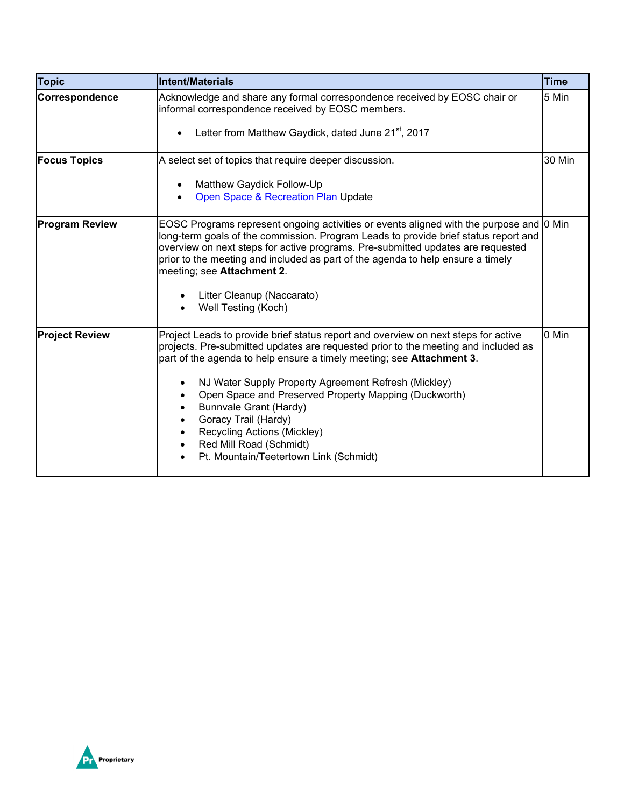| <b>Topic</b>          | Intent/Materials                                                                                                                                                                                                                                                                                                                                                                                                                                                                                                                        | <b>Time</b> |
|-----------------------|-----------------------------------------------------------------------------------------------------------------------------------------------------------------------------------------------------------------------------------------------------------------------------------------------------------------------------------------------------------------------------------------------------------------------------------------------------------------------------------------------------------------------------------------|-------------|
| Correspondence        | Acknowledge and share any formal correspondence received by EOSC chair or<br>informal correspondence received by EOSC members.                                                                                                                                                                                                                                                                                                                                                                                                          | 5 Min       |
|                       | Letter from Matthew Gaydick, dated June 21 <sup>st</sup> , 2017                                                                                                                                                                                                                                                                                                                                                                                                                                                                         |             |
| <b>Focus Topics</b>   | A select set of topics that require deeper discussion.                                                                                                                                                                                                                                                                                                                                                                                                                                                                                  | 30 Min      |
|                       | Matthew Gaydick Follow-Up                                                                                                                                                                                                                                                                                                                                                                                                                                                                                                               |             |
|                       | Open Space & Recreation Plan Update                                                                                                                                                                                                                                                                                                                                                                                                                                                                                                     |             |
| <b>Program Review</b> | EOSC Programs represent ongoing activities or events aligned with the purpose and 0 Min<br>long-term goals of the commission. Program Leads to provide brief status report and<br>overview on next steps for active programs. Pre-submitted updates are requested<br>prior to the meeting and included as part of the agenda to help ensure a timely<br>meeting; see Attachment 2.                                                                                                                                                      |             |
|                       | Litter Cleanup (Naccarato)<br>Well Testing (Koch)                                                                                                                                                                                                                                                                                                                                                                                                                                                                                       |             |
| <b>Project Review</b> | Project Leads to provide brief status report and overview on next steps for active<br>projects. Pre-submitted updates are requested prior to the meeting and included as<br>part of the agenda to help ensure a timely meeting; see <b>Attachment 3</b> .<br>NJ Water Supply Property Agreement Refresh (Mickley)<br>Open Space and Preserved Property Mapping (Duckworth)<br><b>Bunnvale Grant (Hardy)</b><br>Goracy Trail (Hardy)<br>Recycling Actions (Mickley)<br>Red Mill Road (Schmidt)<br>Pt. Mountain/Teetertown Link (Schmidt) | 0 Min       |

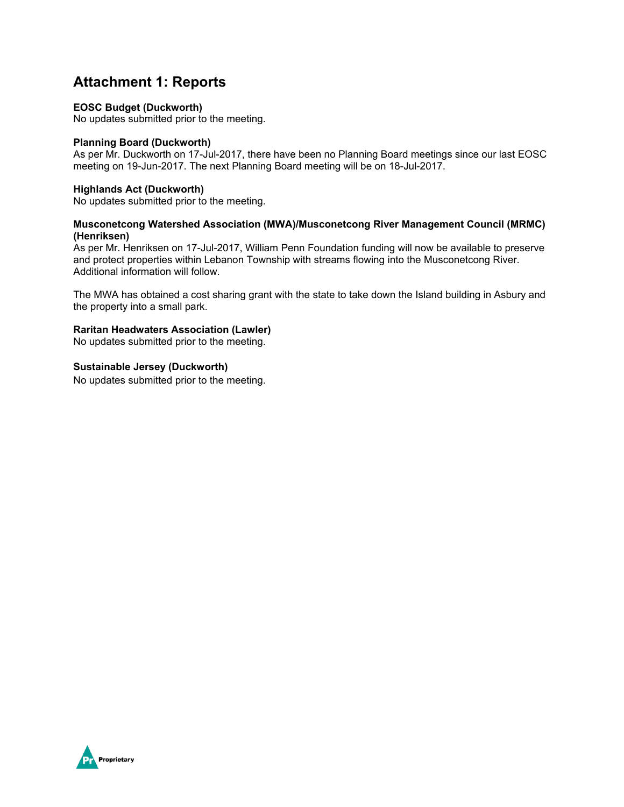## **Attachment 1: Reports**

#### **EOSC Budget (Duckworth)**

No updates submitted prior to the meeting.

#### **Planning Board (Duckworth)**

As per Mr. Duckworth on 17-Jul-2017, there have been no Planning Board meetings since our last EOSC meeting on 19-Jun-2017. The next Planning Board meeting will be on 18-Jul-2017.

#### **Highlands Act (Duckworth)**

No updates submitted prior to the meeting.

#### **Musconetcong Watershed Association (MWA)/Musconetcong River Management Council (MRMC) (Henriksen)**

As per Mr. Henriksen on 17-Jul-2017, William Penn Foundation funding will now be available to preserve and protect properties within Lebanon Township with streams flowing into the Musconetcong River. Additional information will follow.

The MWA has obtained a cost sharing grant with the state to take down the Island building in Asbury and the property into a small park.

#### **Raritan Headwaters Association (Lawler)**

No updates submitted prior to the meeting.

**Sustainable Jersey (Duckworth)** 

No updates submitted prior to the meeting.

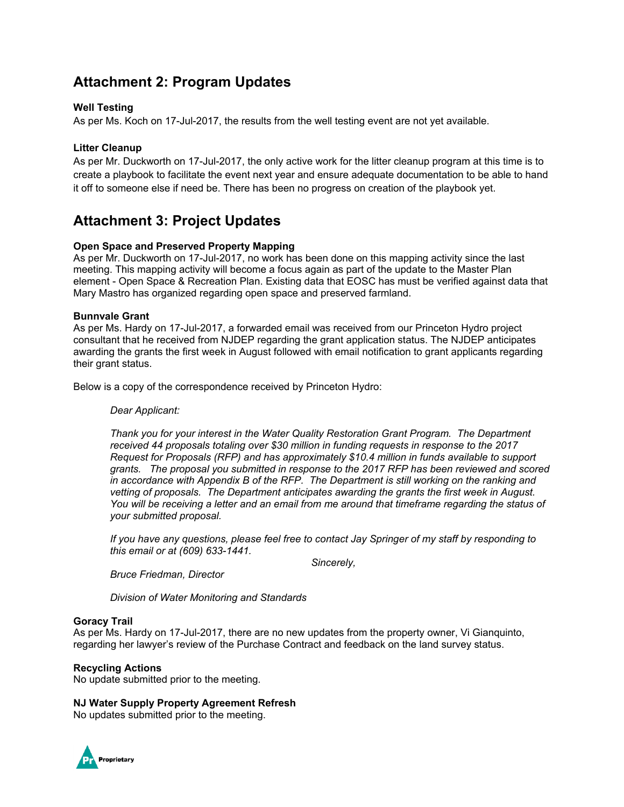# **Attachment 2: Program Updates**

#### **Well Testing**

As per Ms. Koch on 17-Jul-2017, the results from the well testing event are not yet available.

#### **Litter Cleanup**

As per Mr. Duckworth on 17-Jul-2017, the only active work for the litter cleanup program at this time is to create a playbook to facilitate the event next year and ensure adequate documentation to be able to hand it off to someone else if need be. There has been no progress on creation of the playbook yet.

## **Attachment 3: Project Updates**

#### **Open Space and Preserved Property Mapping**

As per Mr. Duckworth on 17-Jul-2017, no work has been done on this mapping activity since the last meeting. This mapping activity will become a focus again as part of the update to the Master Plan element - Open Space & Recreation Plan. Existing data that EOSC has must be verified against data that Mary Mastro has organized regarding open space and preserved farmland.

#### **Bunnvale Grant**

As per Ms. Hardy on 17-Jul-2017, a forwarded email was received from our Princeton Hydro project consultant that he received from NJDEP regarding the grant application status. The NJDEP anticipates awarding the grants the first week in August followed with email notification to grant applicants regarding their grant status.

Below is a copy of the correspondence received by Princeton Hydro:

#### *Dear Applicant:*

*Thank you for your interest in the Water Quality Restoration Grant Program. The Department received 44 proposals totaling over \$30 million in funding requests in response to the 2017 Request for Proposals (RFP) and has approximately \$10.4 million in funds available to support grants. The proposal you submitted in response to the 2017 RFP has been reviewed and scored in accordance with Appendix B of the RFP. The Department is still working on the ranking and vetting of proposals. The Department anticipates awarding the grants the first week in August.*  You will be receiving a letter and an email from me around that timeframe regarding the status of *your submitted proposal.* 

*If you have any questions, please feel free to contact Jay Springer of my staff by responding to this email or at (609) 633-1441.* 

 *Sincerely,* 

*Bruce Friedman, Director* 

*Division of Water Monitoring and Standards* 

#### **Goracy Trail**

As per Ms. Hardy on 17-Jul-2017, there are no new updates from the property owner, Vi Gianquinto, regarding her lawyer's review of the Purchase Contract and feedback on the land survey status.

#### **Recycling Actions**

No update submitted prior to the meeting.

#### **NJ Water Supply Property Agreement Refresh**

No updates submitted prior to the meeting.

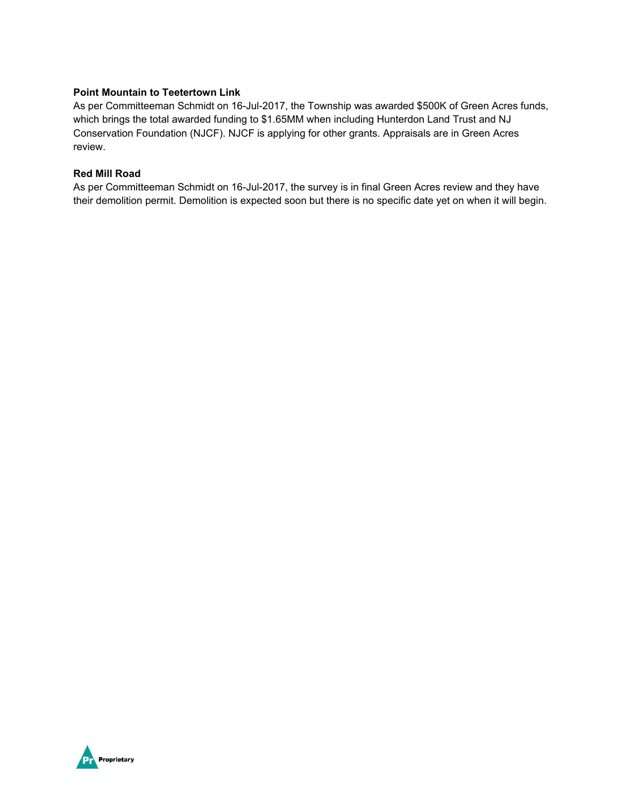#### **Point Mountain to Teetertown Link**

As per Committeeman Schmidt on 16-Jul-2017, the Township was awarded \$500K of Green Acres funds, which brings the total awarded funding to \$1.65MM when including Hunterdon Land Trust and NJ Conservation Foundation (NJCF). NJCF is applying for other grants. Appraisals are in Green Acres review.

#### **Red Mill Road**

As per Committeeman Schmidt on 16-Jul-2017, the survey is in final Green Acres review and they have their demolition permit. Demolition is expected soon but there is no specific date yet on when it will begin.

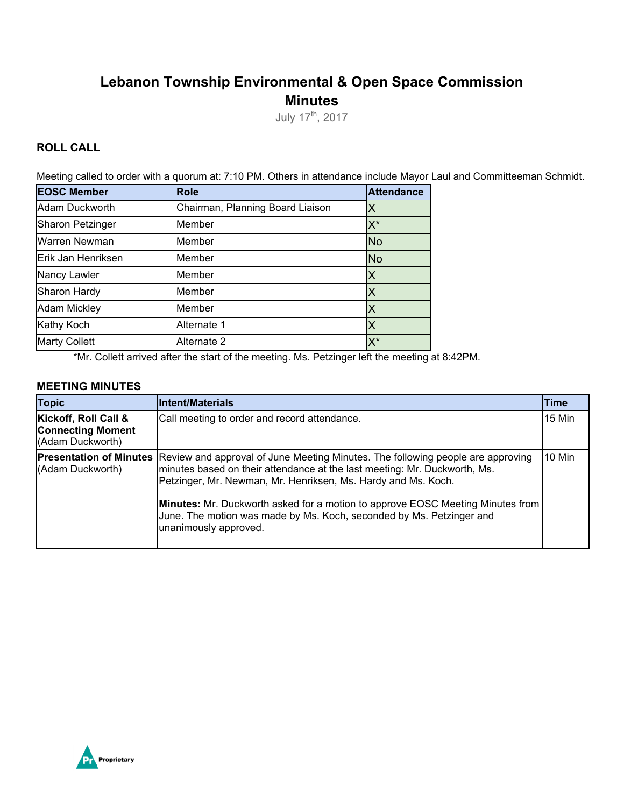# **Lebanon Township Environmental & Open Space Commission Minutes**

July 17<sup>th</sup>, 2017

### **ROLL CALL**

Meeting called to order with a quorum at: 7:10 PM. Others in attendance include Mayor Laul and Committeeman Schmidt.

| <b>EOSC Member</b>      | <b>Role</b>                      | <b>Attendance</b> |
|-------------------------|----------------------------------|-------------------|
| Adam Duckworth          | Chairman, Planning Board Liaison | X                 |
| <b>Sharon Petzinger</b> | Member                           | $X^*$             |
| Warren Newman           | Member                           | <b>No</b>         |
| Erik Jan Henriksen      | Member                           | <b>No</b>         |
| Nancy Lawler            | Member                           | Х                 |
| Sharon Hardy            | Member                           |                   |
| <b>Adam Mickley</b>     | Member                           | X                 |
| Kathy Koch              | Alternate 1                      | IХ                |
| <b>Marty Collett</b>    | Alternate 2                      | X*                |

\*Mr. Collett arrived after the start of the meeting. Ms. Petzinger left the meeting at 8:42PM.

#### **MEETING MINUTES**

| <b>Topic</b>                                                         | Intent/Materials                                                                                                                                                                                                                                                                                                                                                                                                                                       | <b>Time</b> |
|----------------------------------------------------------------------|--------------------------------------------------------------------------------------------------------------------------------------------------------------------------------------------------------------------------------------------------------------------------------------------------------------------------------------------------------------------------------------------------------------------------------------------------------|-------------|
| Kickoff, Roll Call &<br><b>Connecting Moment</b><br>(Adam Duckworth) | Call meeting to order and record attendance.                                                                                                                                                                                                                                                                                                                                                                                                           | 15 Min      |
| (Adam Duckworth)                                                     | <b>Presentation of Minutes</b> Review and approval of June Meeting Minutes. The following people are approving<br>minutes based on their attendance at the last meeting: Mr. Duckworth, Ms.<br>Petzinger, Mr. Newman, Mr. Henriksen, Ms. Hardy and Ms. Koch.<br><b>Minutes:</b> Mr. Duckworth asked for a motion to approve EOSC Meeting Minutes from<br>June. The motion was made by Ms. Koch, seconded by Ms. Petzinger and<br>unanimously approved. | 10 Min      |

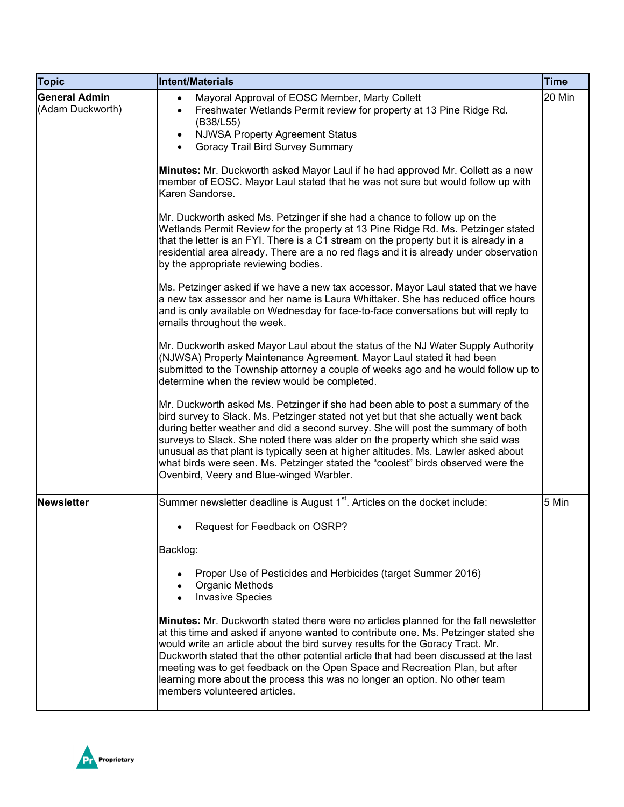| <b>Topic</b>                             | Intent/Materials                                                                                                                                                                                                                                                                                                                                                                                                                                                                                                                                                   | <b>Time</b> |
|------------------------------------------|--------------------------------------------------------------------------------------------------------------------------------------------------------------------------------------------------------------------------------------------------------------------------------------------------------------------------------------------------------------------------------------------------------------------------------------------------------------------------------------------------------------------------------------------------------------------|-------------|
| <b>General Admin</b><br>(Adam Duckworth) | Mayoral Approval of EOSC Member, Marty Collett<br>$\bullet$<br>Freshwater Wetlands Permit review for property at 13 Pine Ridge Rd.<br>$\bullet$<br>(B38/L55)<br><b>NJWSA Property Agreement Status</b><br>$\bullet$<br>Goracy Trail Bird Survey Summary<br>Minutes: Mr. Duckworth asked Mayor Laul if he had approved Mr. Collett as a new<br>member of EOSC. Mayor Laul stated that he was not sure but would follow up with<br>Karen Sandorse.                                                                                                                   | 20 Min      |
|                                          | Mr. Duckworth asked Ms. Petzinger if she had a chance to follow up on the<br>Wetlands Permit Review for the property at 13 Pine Ridge Rd. Ms. Petzinger stated<br>that the letter is an FYI. There is a C1 stream on the property but it is already in a<br>residential area already. There are a no red flags and it is already under observation<br>by the appropriate reviewing bodies.                                                                                                                                                                         |             |
|                                          | Ms. Petzinger asked if we have a new tax accessor. Mayor Laul stated that we have<br>a new tax assessor and her name is Laura Whittaker. She has reduced office hours<br>and is only available on Wednesday for face-to-face conversations but will reply to<br>emails throughout the week.                                                                                                                                                                                                                                                                        |             |
|                                          | Mr. Duckworth asked Mayor Laul about the status of the NJ Water Supply Authority<br>(NJWSA) Property Maintenance Agreement. Mayor Laul stated it had been<br>submitted to the Township attorney a couple of weeks ago and he would follow up to<br>determine when the review would be completed.                                                                                                                                                                                                                                                                   |             |
|                                          | Mr. Duckworth asked Ms. Petzinger if she had been able to post a summary of the<br>bird survey to Slack. Ms. Petzinger stated not yet but that she actually went back<br>during better weather and did a second survey. She will post the summary of both<br>surveys to Slack. She noted there was alder on the property which she said was<br>unusual as that plant is typically seen at higher altitudes. Ms. Lawler asked about<br>what birds were seen. Ms. Petzinger stated the "coolest" birds observed were the<br>Ovenbird, Veery and Blue-winged Warbler. |             |
| <b>Newsletter</b>                        | Summer newsletter deadline is August 1 <sup>st</sup> . Articles on the docket include:                                                                                                                                                                                                                                                                                                                                                                                                                                                                             | 5 Min       |
|                                          | Request for Feedback on OSRP?<br>Backlog:<br>Proper Use of Pesticides and Herbicides (target Summer 2016)<br>Organic Methods<br><b>Invasive Species</b>                                                                                                                                                                                                                                                                                                                                                                                                            |             |
|                                          | Minutes: Mr. Duckworth stated there were no articles planned for the fall newsletter<br>at this time and asked if anyone wanted to contribute one. Ms. Petzinger stated she<br>would write an article about the bird survey results for the Goracy Tract. Mr.<br>Duckworth stated that the other potential article that had been discussed at the last<br>meeting was to get feedback on the Open Space and Recreation Plan, but after<br>learning more about the process this was no longer an option. No other team<br>members volunteered articles.             |             |

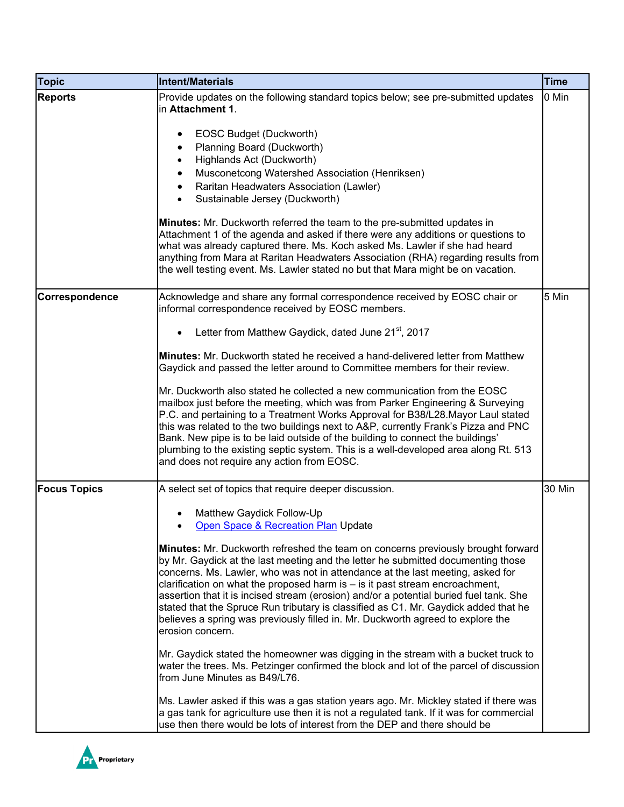| <b>Topic</b>        | <b>Intent/Materials</b>                                                                                                                                                                                                                                                                                                                                                                                                                                                                                                                                                                                                                                                                                                                                                                                                                                                                                                                                                                                                                                                                                                                                                                     | <b>Time</b> |
|---------------------|---------------------------------------------------------------------------------------------------------------------------------------------------------------------------------------------------------------------------------------------------------------------------------------------------------------------------------------------------------------------------------------------------------------------------------------------------------------------------------------------------------------------------------------------------------------------------------------------------------------------------------------------------------------------------------------------------------------------------------------------------------------------------------------------------------------------------------------------------------------------------------------------------------------------------------------------------------------------------------------------------------------------------------------------------------------------------------------------------------------------------------------------------------------------------------------------|-------------|
| <b>Reports</b>      | Provide updates on the following standard topics below; see pre-submitted updates<br>in Attachment 1.<br>EOSC Budget (Duckworth)<br>٠<br>Planning Board (Duckworth)<br>Highlands Act (Duckworth)<br>Musconetcong Watershed Association (Henriksen)<br>Raritan Headwaters Association (Lawler)<br>Sustainable Jersey (Duckworth)<br>Minutes: Mr. Duckworth referred the team to the pre-submitted updates in<br>Attachment 1 of the agenda and asked if there were any additions or questions to<br>what was already captured there. Ms. Koch asked Ms. Lawler if she had heard<br>anything from Mara at Raritan Headwaters Association (RHA) regarding results from<br>the well testing event. Ms. Lawler stated no but that Mara might be on vacation.                                                                                                                                                                                                                                                                                                                                                                                                                                     | 0 Min       |
| Correspondence      | Acknowledge and share any formal correspondence received by EOSC chair or<br>informal correspondence received by EOSC members.                                                                                                                                                                                                                                                                                                                                                                                                                                                                                                                                                                                                                                                                                                                                                                                                                                                                                                                                                                                                                                                              | 5 Min       |
|                     | Letter from Matthew Gaydick, dated June 21 <sup>st</sup> , 2017<br>$\bullet$                                                                                                                                                                                                                                                                                                                                                                                                                                                                                                                                                                                                                                                                                                                                                                                                                                                                                                                                                                                                                                                                                                                |             |
|                     | <b>Minutes:</b> Mr. Duckworth stated he received a hand-delivered letter from Matthew<br>Gaydick and passed the letter around to Committee members for their review.                                                                                                                                                                                                                                                                                                                                                                                                                                                                                                                                                                                                                                                                                                                                                                                                                                                                                                                                                                                                                        |             |
|                     | Mr. Duckworth also stated he collected a new communication from the EOSC<br>mailbox just before the meeting, which was from Parker Engineering & Surveying<br>P.C. and pertaining to a Treatment Works Approval for B38/L28. Mayor Laul stated<br>this was related to the two buildings next to A&P, currently Frank's Pizza and PNC<br>Bank. New pipe is to be laid outside of the building to connect the buildings'<br>plumbing to the existing septic system. This is a well-developed area along Rt. 513<br>and does not require any action from EOSC.                                                                                                                                                                                                                                                                                                                                                                                                                                                                                                                                                                                                                                 |             |
| <b>Focus Topics</b> | A select set of topics that require deeper discussion.                                                                                                                                                                                                                                                                                                                                                                                                                                                                                                                                                                                                                                                                                                                                                                                                                                                                                                                                                                                                                                                                                                                                      | 30 Min      |
|                     | Matthew Gaydick Follow-Up<br>Open Space & Recreation Plan Update<br><b>Minutes:</b> Mr. Duckworth refreshed the team on concerns previously brought forward<br>by Mr. Gaydick at the last meeting and the letter he submitted documenting those<br>concerns. Ms. Lawler, who was not in attendance at the last meeting, asked for<br>clarification on what the proposed harm is - is it past stream encroachment,<br>assertion that it is incised stream (erosion) and/or a potential buried fuel tank. She<br>stated that the Spruce Run tributary is classified as C1. Mr. Gaydick added that he<br>believes a spring was previously filled in. Mr. Duckworth agreed to explore the<br>erosion concern.<br>Mr. Gaydick stated the homeowner was digging in the stream with a bucket truck to<br>water the trees. Ms. Petzinger confirmed the block and lot of the parcel of discussion<br>from June Minutes as B49/L76.<br>Ms. Lawler asked if this was a gas station years ago. Mr. Mickley stated if there was<br>a gas tank for agriculture use then it is not a regulated tank. If it was for commercial<br>use then there would be lots of interest from the DEP and there should be |             |

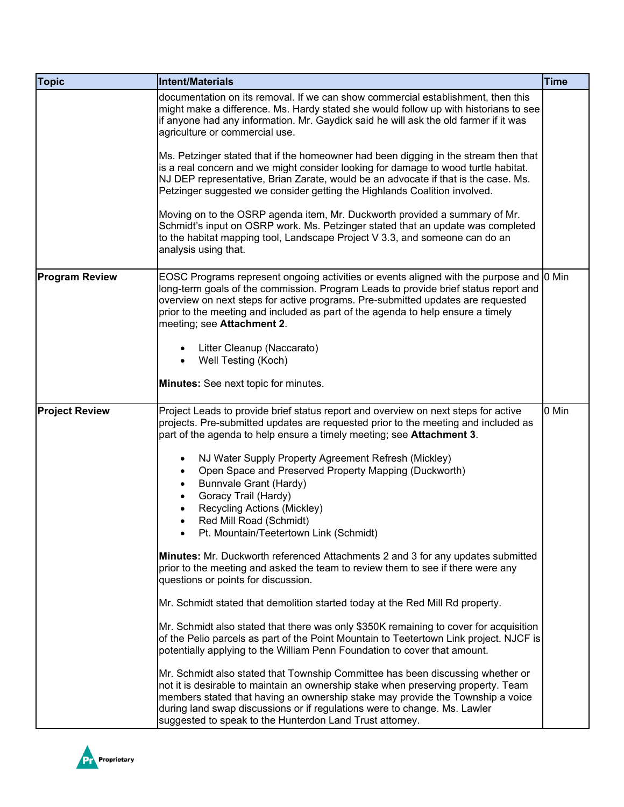| <b>Topic</b>          | <b>Intent/Materials</b>                                                                                                                                                                                                                                                                                                                                                                        | <b>Time</b> |
|-----------------------|------------------------------------------------------------------------------------------------------------------------------------------------------------------------------------------------------------------------------------------------------------------------------------------------------------------------------------------------------------------------------------------------|-------------|
|                       | documentation on its removal. If we can show commercial establishment, then this<br>might make a difference. Ms. Hardy stated she would follow up with historians to see<br>if anyone had any information. Mr. Gaydick said he will ask the old farmer if it was<br>agriculture or commercial use.                                                                                             |             |
|                       | Ms. Petzinger stated that if the homeowner had been digging in the stream then that<br>is a real concern and we might consider looking for damage to wood turtle habitat.<br>NJ DEP representative, Brian Zarate, would be an advocate if that is the case. Ms.<br>Petzinger suggested we consider getting the Highlands Coalition involved.                                                   |             |
|                       | Moving on to the OSRP agenda item, Mr. Duckworth provided a summary of Mr.<br>Schmidt's input on OSRP work. Ms. Petzinger stated that an update was completed<br>to the habitat mapping tool, Landscape Project V 3.3, and someone can do an<br>analysis using that.                                                                                                                           |             |
| <b>Program Review</b> | EOSC Programs represent ongoing activities or events aligned with the purpose and [0 Min<br>long-term goals of the commission. Program Leads to provide brief status report and<br>overview on next steps for active programs. Pre-submitted updates are requested<br>prior to the meeting and included as part of the agenda to help ensure a timely<br>meeting; see Attachment 2.            |             |
|                       | Litter Cleanup (Naccarato)                                                                                                                                                                                                                                                                                                                                                                     |             |
|                       | Well Testing (Koch)                                                                                                                                                                                                                                                                                                                                                                            |             |
|                       | Minutes: See next topic for minutes.                                                                                                                                                                                                                                                                                                                                                           |             |
| <b>Project Review</b> | Project Leads to provide brief status report and overview on next steps for active<br>projects. Pre-submitted updates are requested prior to the meeting and included as<br>part of the agenda to help ensure a timely meeting; see <b>Attachment 3</b> .                                                                                                                                      | 0 Min       |
|                       | NJ Water Supply Property Agreement Refresh (Mickley)<br>Open Space and Preserved Property Mapping (Duckworth)<br>Bunnvale Grant (Hardy)<br>Goracy Trail (Hardy)                                                                                                                                                                                                                                |             |
|                       | Recycling Actions (Mickley)                                                                                                                                                                                                                                                                                                                                                                    |             |
|                       | Red Mill Road (Schmidt)<br>Pt. Mountain/Teetertown Link (Schmidt)                                                                                                                                                                                                                                                                                                                              |             |
|                       | Minutes: Mr. Duckworth referenced Attachments 2 and 3 for any updates submitted<br>prior to the meeting and asked the team to review them to see if there were any<br>questions or points for discussion.                                                                                                                                                                                      |             |
|                       | Mr. Schmidt stated that demolition started today at the Red Mill Rd property.                                                                                                                                                                                                                                                                                                                  |             |
|                       | Mr. Schmidt also stated that there was only \$350K remaining to cover for acquisition<br>of the Pelio parcels as part of the Point Mountain to Teetertown Link project. NJCF is<br>potentially applying to the William Penn Foundation to cover that amount.                                                                                                                                   |             |
|                       | Mr. Schmidt also stated that Township Committee has been discussing whether or<br>not it is desirable to maintain an ownership stake when preserving property. Team<br>members stated that having an ownership stake may provide the Township a voice<br>during land swap discussions or if regulations were to change. Ms. Lawler<br>suggested to speak to the Hunterdon Land Trust attorney. |             |